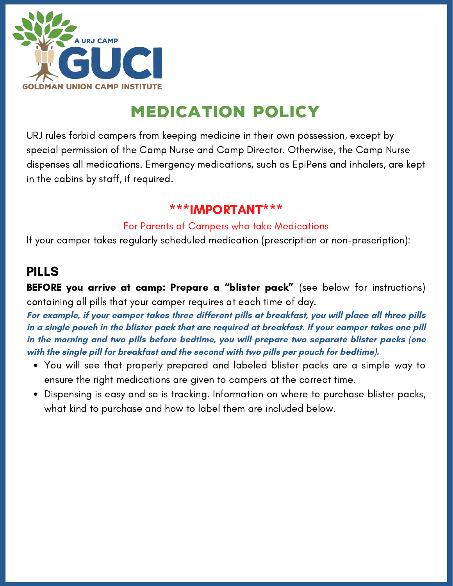

# medication policy

URJ rules forbid campers from keeping medicine in their own possession, except by special permission of the Camp Nurse and Camp Director. Otherwise, the Camp Nurse dispenses all medications. Emergency medications, such as EpiPens and inhalers, are kept in the cabins by staff, if required.

### \*\*\*IMPORTANT\*\*\*

#### For Parents of Campers who take Medications

If your camper takes regularly scheduled medication (prescription or non-prescription):

## PILLS

BEFORE you arrive at camp: Prepare a "blister pack" (see below for instructions) containing all pills that your camper requires at each time of day.

**For example, if your camper takes three different pills at breakfast, you will place all three pills** in a single pouch in the blister pack that are required at breakfast. If your camper takes one pill **in the morning and two pills before bedtime, you will prepare two separate blister packs (one with the single pill for breakfast and the second with two pills per pouch for bedtime).**

- You will see that properly prepared and labeled blister packs are a simple way to ensure the right medications are given to campers at the correct time.
- Dispensing is easy and so is tracking. Information on where to purchase blister packs, what kind to purchase and how to label them are included below.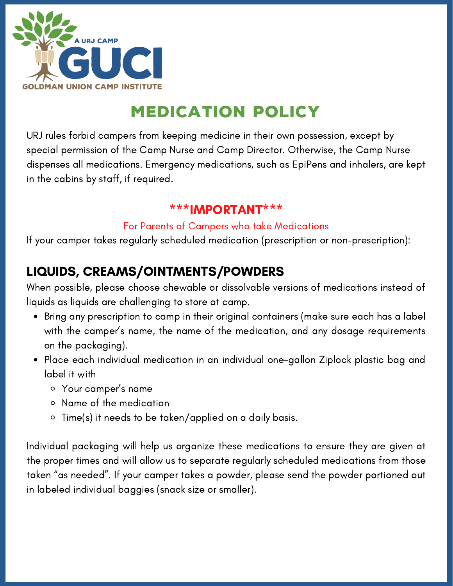

# medication policy

URJ rules forbid campers from keeping medicine in their own possession, except by special permission of the Camp Nurse and Camp Director. Otherwise, the Camp Nurse dispenses all medications. Emergency medications, such as EpiPens and inhalers, are kept in the cabins by staff, if required.

### \*\*\*IMPORTANT\*\*\*

#### For Parents of Campers who take Medications

If your camper takes regularly scheduled medication (prescription or non-prescription):

## LIQUIDS, CREAMS/OINTMENTS/POWDERS

When possible, please choose chewable or dissolvable versions of medications instead of liquids as liquids are challenging to store at camp.

- Bring any prescription to camp in their original containers (make sure each has a label with the camper's name, the name of the medication, and any dosage requirements on the packaging).
- Place each individual medication in an individual one-gallon Ziplock plastic bag and label it with
	- Your camper's name
	- Name of the medication
	- Time(s) it needs to be taken/applied on a daily basis.

Individual packaging will help us organize these medications to ensure they are given at the proper times and will allow us to separate regularly scheduled medications from those taken "as needed". If your camper takes a powder, please send the powder portioned out in labeled individual baggies (snack size or smaller).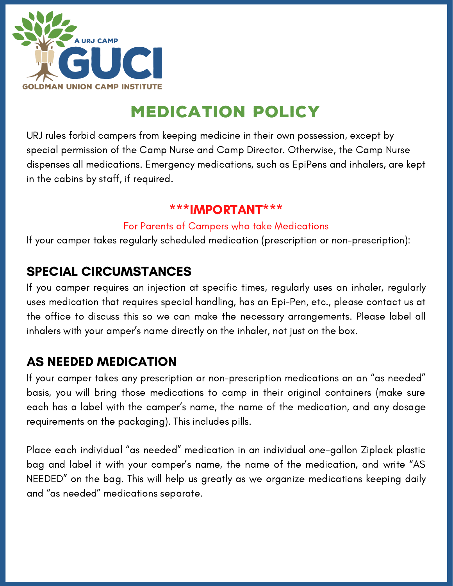

# medication policy

URJ rules forbid campers from keeping medicine in their own possession, except by special permission of the Camp Nurse and Camp Director. Otherwise, the Camp Nurse dispenses all medications. Emergency medications, such as EpiPens and inhalers, are kept in the cabins by staff, if required.

### \*\*\*IMPORTANT\*\*\*

#### For Parents of Campers who take Medications

If your camper takes regularly scheduled medication (prescription or non-prescription):

## SPECIAL CIRCUMSTANCES

If you camper requires an injection at specific times, regularly uses an inhaler, regularly uses medication that requires special handling, has an Epi-Pen, etc., please contact us at the office to discuss this so we can make the necessary arrangements. Please label all inhalers with your amper's name directly on the inhaler, not just on the box.

### AS NEEDED MEDICATION

If your camper takes any prescription or non-prescription medications on an "as needed" basis, you will bring those medications to camp in their original containers (make sure each has a label with the camper's name, the name of the medication, and any dosage requirements on the packaging). This includes pills.

Place each individual "as needed" medication in an individual one-gallon Ziplock plastic bag and label it with your camper's name, the name of the medication, and write "AS NEEDED" on the bag. This will help us greatly as we organize medications keeping daily and "as needed" medications separate.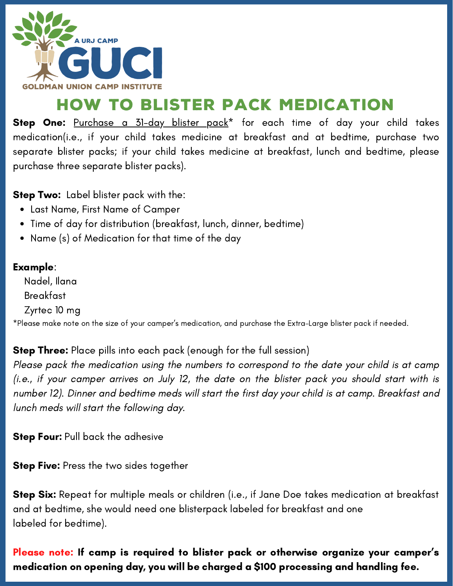

# how to blister pack medication

Step One: [Purchase](https://www.amazon.com/Refill-Weekly-Monthly-Blister-Monthly-Large/dp/B0786MN71Q/ref=sr_1_4?crid=CKCMHQHEYEN2&keywords=blister%2Bpacks%2Bfor%2Bpills&qid=1552325451&rnid=11292771011&s=gateway&sprefix=blister%2Bpack%2Caps%2C169&sr=8-4&th=1) a 31-day blister pack<sup>\*</sup> for each time of day your child takes medication(i.e., if your child takes medicine at breakfast and at bedtime, purchase two separate blister packs; if your child takes medicine at breakfast, lunch and bedtime, please purchase three separate blister packs).

**Step Two:** Label blister pack with the:

- Last Name, First Name of Camper
- Time of day for distribution (breakfast, lunch, dinner, bedtime)
- Name (s) of Medication for that time of the day

#### Example:

Nadel, Ilana Breakfast Zyrtec 10 mg

\*Please make note on the size of your camper's medication, and purchase the Extra-Large blister pack if needed.

**Step Three:** Place pills into each pack (enough for the full session)

Please pack the medication using the numbers to correspond to the date your child is at camp (i.e., if your camper arrives on July 12, the date on the blister pack you should start with is number 12). Dinner and bedtime meds will start the first day your child is at camp. Breakfast and lunch meds will start the following day.

**Step Four: Pull back the adhesive** 

**Step Five:** Press the two sides together

Step Six: Repeat for multiple meals or children (i.e., if Jane Doe takes medication at breakfast and at bedtime, she would need one blisterpack labeled for breakfast and one labeled for bedtime).

Please note: If camp is required to blister pack or otherwise organize your camper's medication on opening day, you will be charged a \$100 processing and handling fee.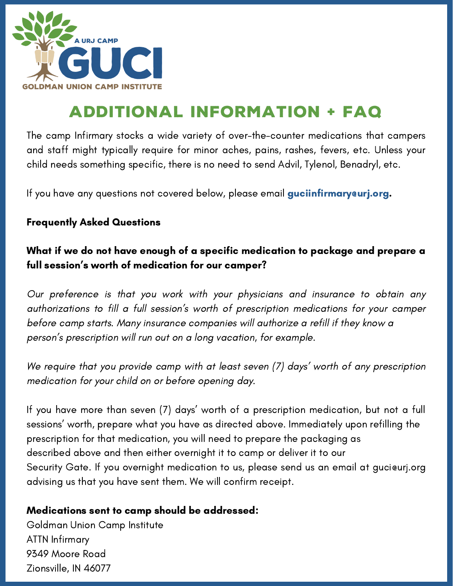

# additional information + FAQ

The camp Infirmary stocks a wide variety of over-the-counter medications that campers and staff might typically require for minor aches, pains, rashes, fevers, etc. Unless your child needs something specific, there is no need to send Advil, Tylenol, Benadryl, etc.

If you have any questions not covered below, please email **guciinfirmary@urj.org.** 

#### Frequently Asked Questions

### What if we do not have enough of a specific medication to package and prepare a full session's worth of medication for our camper?

Our preference is that you work with your physicians and insurance to obtain any authorizations to fill a full session's worth of prescription medications for your camper before camp starts. Many insurance companies will authorize a refill if they know a person's prescription will run out on a long vacation, for example.

We require that you provide camp with at least seven (7) days' worth of any prescription medication for your child on or before opening day.

If you have more than seven (7) days' worth of a prescription medication, but not a full sessions' worth, prepare what you have as directed above. Immediately upon refilling the prescription for that medication, you will need to prepare the packaging as described above and then either overnight it to camp or deliver it to our Security Gate. If you overnight medication to us, please send us an email at guci@urj.org advising us that you have sent them. We will confirm receipt.

#### Medications sent to camp should be addressed:

Goldman Union Camp Institute ATTN Infirmary 9349 Moore Road Zionsville, IN 46077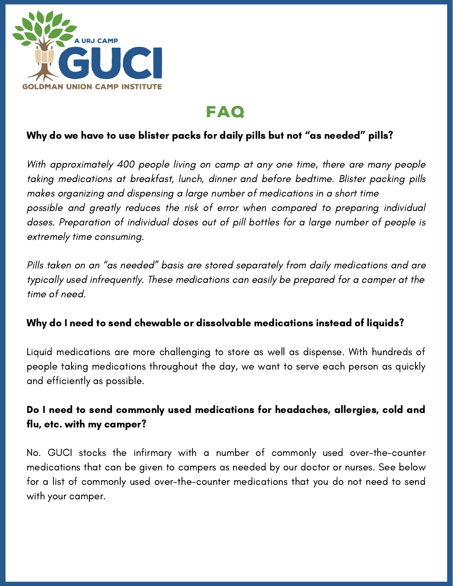

## FAQ

### Why do we have to use blister packs for daily pills but not "as needed" pills?

With approximately 400 people living on camp at any one time, there are many people taking medications at breakfast, lunch, dinner and before bedtime. Blister packing pills makes organizing and dispensing a large number of medications in a short time possible and greatly reduces the risk of error when compared to preparing individual doses. Preparation of individual doses out of pill bottles for a large number of people is extremely time consuming.

Pills taken on an "as needed" basis are stored separately from daily medications and are typically used infrequently. These medications can easily be prepared for a camper at the time of need.

#### Why do I need to send chewable or dissolvable medications instead of liquids?

Liquid medications are more challenging to store as well as dispense. With hundreds of people taking medications throughout the day, we want to serve each person as quickly and efficiently as possible.

#### Do I need to send commonly used medications for headaches, allergies, cold and flu, etc. with my camper?

No. GUCI stocks the infirmary with a number of commonly used over-the-counter medications that can be given to campers as needed by our doctor or nurses. See below for a list of commonly used over-the-counter medications that you do not need to send with your camper.